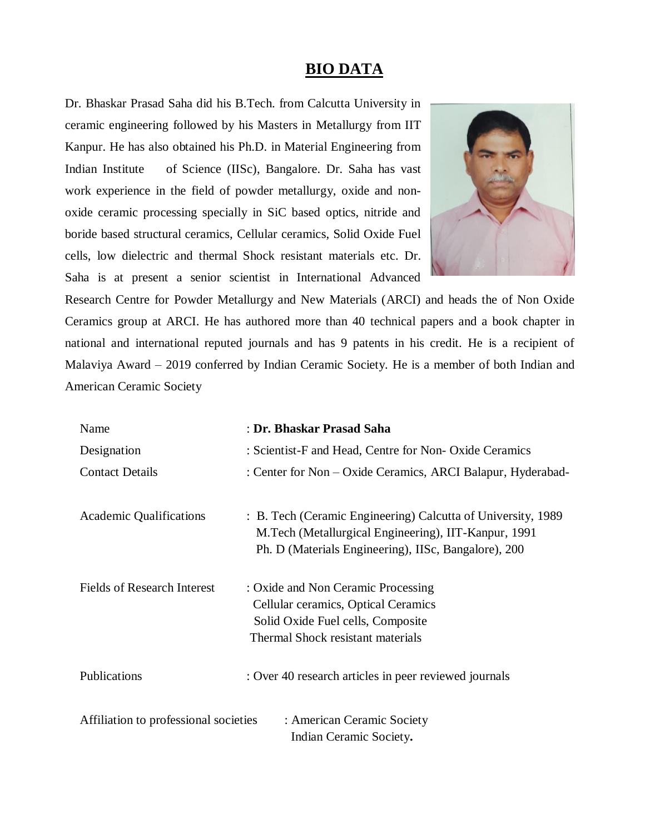## **BIO DATA**

Dr. Bhaskar Prasad Saha did his B.Tech. from Calcutta University in ceramic engineering followed by his Masters in Metallurgy from IIT Kanpur. He has also obtained his Ph.D. in Material Engineering from Indian Institute of Science (IISc), Bangalore. Dr. Saha has vast work experience in the field of powder metallurgy, oxide and nonoxide ceramic processing specially in SiC based optics, nitride and boride based structural ceramics, Cellular ceramics, Solid Oxide Fuel cells, low dielectric and thermal Shock resistant materials etc. Dr. Saha is at present a senior scientist in International Advanced



Research Centre for Powder Metallurgy and New Materials (ARCI) and heads the of Non Oxide Ceramics group at ARCI. He has authored more than 40 technical papers and a book chapter in national and international reputed journals and has 9 patents in his credit. He is a recipient of Malaviya Award – 2019 conferred by Indian Ceramic Society. He is a member of both Indian and American Ceramic Society

| Name                                                                                           | : Dr. Bhaskar Prasad Saha                                                                                                                                                    |
|------------------------------------------------------------------------------------------------|------------------------------------------------------------------------------------------------------------------------------------------------------------------------------|
| Designation                                                                                    | : Scientist-F and Head, Centre for Non-Oxide Ceramics                                                                                                                        |
| <b>Contact Details</b>                                                                         | : Center for Non - Oxide Ceramics, ARCI Balapur, Hyderabad-                                                                                                                  |
| <b>Academic Qualifications</b>                                                                 | : B. Tech (Ceramic Engineering) Calcutta of University, 1989<br>M.Tech (Metallurgical Engineering), IIT-Kanpur, 1991<br>Ph. D (Materials Engineering), IISc, Bangalore), 200 |
| <b>Fields of Research Interest</b>                                                             | : Oxide and Non Ceramic Processing<br>Cellular ceramics, Optical Ceramics<br>Solid Oxide Fuel cells, Composite<br>Thermal Shock resistant materials                          |
| Publications                                                                                   | : Over 40 research articles in peer reviewed journals                                                                                                                        |
| Affiliation to professional societies<br>: American Ceramic Society<br>Indian Ceramic Society. |                                                                                                                                                                              |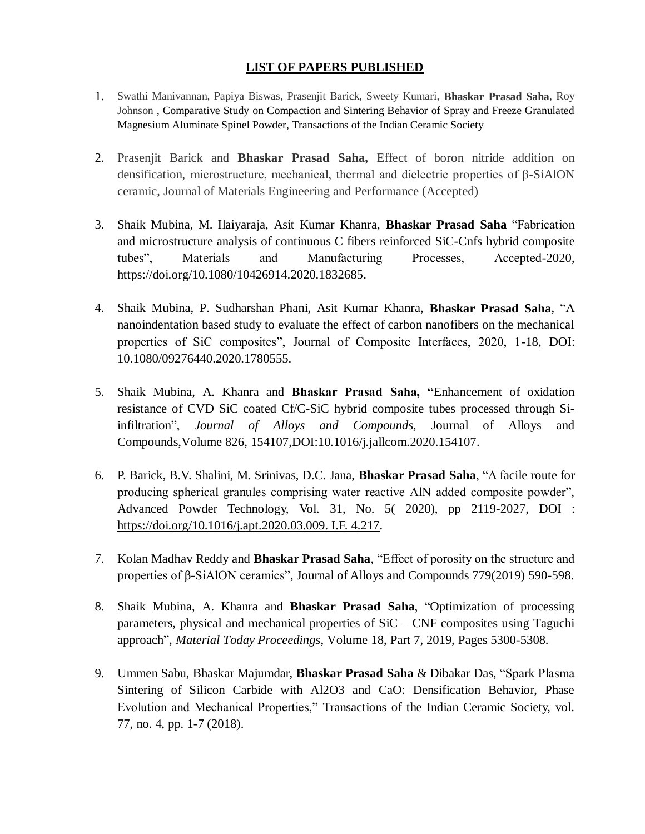## **LIST OF PAPERS PUBLISHED**

- 1. Swathi Manivannan, Papiya Biswas, Prasenjit Barick, Sweety Kumari, **Bhaskar Prasad Saha**, Roy Johnson , Comparative Study on Compaction and Sintering Behavior of Spray and Freeze Granulated Magnesium Aluminate Spinel Powder, Transactions of the Indian Ceramic Society
- 2. Prasenjit Barick and **Bhaskar Prasad Saha,** Effect of boron nitride addition on densification, microstructure, mechanical, thermal and dielectric properties of β-SiAlON ceramic, Journal of Materials Engineering and Performance (Accepted)
- 3. Shaik Mubina, M. Ilaiyaraja, Asit Kumar Khanra, **Bhaskar Prasad Saha** "Fabrication and microstructure analysis of continuous C fibers reinforced SiC-Cnfs hybrid composite tubes", Materials and Manufacturing Processes, Accepted-2020, [https://doi.org/10.1080/10426914.2020.1832685.](https://doi.org/10.1080/10426914.2020.1832685)
- 4. Shaik Mubina, P. Sudharshan Phani, Asit Kumar Khanra, **Bhaskar Prasad Saha**, "A nanoindentation based study to evaluate the effect of carbon nanofibers on the mechanical properties of SiC composites", Journal of Composite Interfaces, 2020, 1-18, DOI: 10.1080/09276440.2020.1780555.
- 5. Shaik Mubina, A. Khanra and **Bhaskar Prasad Saha, "**Enhancement of oxidation resistance of CVD SiC coated Cf/C-SiC hybrid composite tubes processed through Siinfiltration", *Journal of Alloys and Compounds,* Journal of Alloys and Compounds[,Volume 826,](https://www.sciencedirect.com/science/journal/09258388/826/supp/C) 154107,DOI:10.1016/j.jallcom.2020.154107.
- 6. P. Barick, B.V. Shalini, M. Srinivas, D.C. Jana, **Bhaskar Prasad Saha**, "A facile route for producing spherical granules comprising water reactive AlN added composite powder", Advanced Powder Technology, Vol. 31, No. 5( 2020), pp 2119-2027, DOI : [https://doi.org/10.1016/j.apt.2020.03.009. I.F. 4.217.](https://doi.org/10.1016/j.apt.2020.03.009.%20I.F.%204.217)
- 7. Kolan Madhav Reddy and **Bhaskar Prasad Saha**, "Effect of porosity on the structure and properties of β-SiAlON ceramics", Journal of Alloys and Compounds 779(2019) 590-598.
- 8. Shaik Mubina, A. Khanra and **Bhaskar Prasad Saha**, "Optimization of processing parameters, physical and mechanical properties of SiC – CNF composites using Taguchi approach", *Material Today Proceedings*, [Volume 18, Part 7,](https://www.sciencedirect.com/science/journal/22147853/18/part/P7) 2019, Pages 5300-5308.
- 9. Ummen Sabu, Bhaskar Majumdar, **Bhaskar Prasad Saha** & Dibakar Das, "Spark Plasma Sintering of Silicon Carbide with Al2O3 and CaO: Densification Behavior, Phase Evolution and Mechanical Properties," Transactions of the Indian Ceramic Society, vol. 77, no. 4, pp. 1-7 (2018).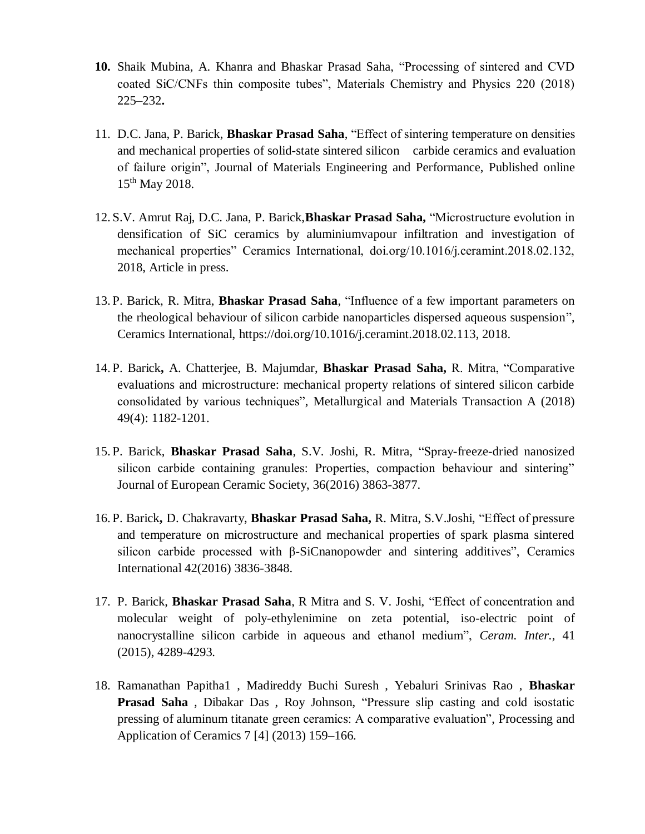- **10.** Shaik Mubina, A. Khanra and Bhaskar Prasad Saha, "Processing of sintered and CVD coated SiC/CNFs thin composite tubes", Materials Chemistry and Physics 220 (2018) 225–232**.**
- 11. D.C. Jana, P. Barick, **Bhaskar Prasad Saha**, "Effect of sintering temperature on densities and mechanical properties of solid-state sintered silicon carbide ceramics and evaluation of failure origin", Journal of Materials Engineering and Performance, Published online 15<sup>th</sup> May 2018.
- 12. S.V. Amrut Raj, D.C. Jana, P. Barick,**Bhaskar Prasad Saha,** "Microstructure evolution in densification of SiC ceramics by aluminiumvapour infiltration and investigation of mechanical properties" Ceramics International, doi.org/10.1016/j.ceramint.2018.02.132, 2018, Article in press.
- 13. P. Barick, R. Mitra, **Bhaskar Prasad Saha**, "Influence of a few important parameters on the rheological behaviour of silicon carbide nanoparticles dispersed aqueous suspension", Ceramics International, [https://doi.org/10.1016/j.ceramint.2018.02.113,](https://doi.org/10.1016/j.ceramint.2018.02.113) 2018.
- 14. P. Barick**,** A. Chatterjee, B. Majumdar, **Bhaskar Prasad Saha,** R. Mitra, "Comparative evaluations and microstructure: mechanical property relations of sintered silicon carbide consolidated by various techniques", Metallurgical and Materials Transaction A (2018) 49(4): 1182-1201.
- 15. P. Barick, **Bhaskar Prasad Saha**, S.V. Joshi, R. Mitra, "Spray-freeze-dried nanosized silicon carbide containing granules: Properties, compaction behaviour and sintering" Journal of European Ceramic Society, 36(2016) 3863-3877.
- 16. P. Barick**,** D. Chakravarty, **Bhaskar Prasad Saha,** R. Mitra, S.V.Joshi, "Effect of pressure and temperature on microstructure and mechanical properties of spark plasma sintered silicon carbide processed with β-SiCnanopowder and sintering additives", Ceramics International 42(2016) 3836-3848.
- 17. P. Barick, **Bhaskar Prasad Saha**, R Mitra and S. V. Joshi, "Effect of concentration and molecular weight of poly-ethylenimine on zeta potential, iso-electric point of nanocrystalline silicon carbide in aqueous and ethanol medium", *Ceram. Inter.,* 41 (2015), 4289-4293.
- 18. Ramanathan Papitha1 , Madireddy Buchi Suresh , Yebaluri Srinivas Rao , **Bhaskar Prasad Saha** , Dibakar Das , Roy Johnson, "Pressure slip casting and cold isostatic pressing of aluminum titanate green ceramics: A comparative evaluation", Processing and Application of Ceramics 7 [4] (2013) 159–166.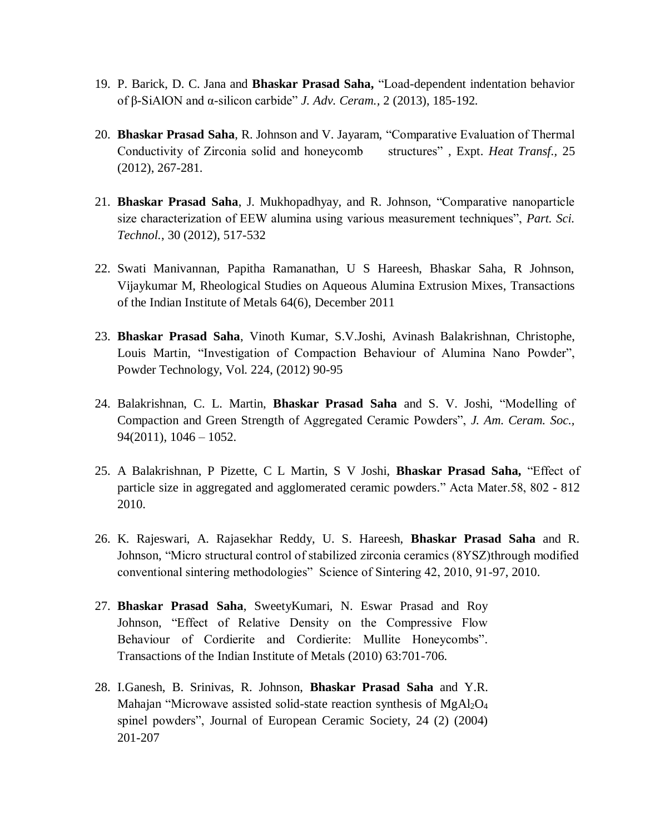- 19. P. Barick, D. C. Jana and **Bhaskar Prasad Saha,** "Load-dependent indentation behavior of β-SiAlON and α-silicon carbide" *J. Adv. Ceram.,* 2 (2013), 185-192.
- 20. **Bhaskar Prasad Saha**, R. Johnson and V. Jayaram, "Comparative Evaluation of Thermal Conductivity of Zirconia solid and honeycomb structures" , Expt. *Heat Transf.,* 25 (2012), 267-281.
- 21. **Bhaskar Prasad Saha**, J. Mukhopadhyay, and R. Johnson, "Comparative nanoparticle size characterization of EEW alumina using various measurement techniques", *Part. Sci. Technol.*, 30 (2012), 517-532
- 22. Swati Manivannan, Papitha Ramanathan, U S Hareesh, Bhaskar Saha, R Johnson, Vijaykumar M, Rheological Studies on Aqueous Alumina Extrusion Mixes, Transactions of the Indian Institute of Metals 64(6), December 2011
- 23. **Bhaskar Prasad Saha**, Vinoth Kumar, S.V.Joshi, Avinash Balakrishnan, Christophe, Louis Martin, "Investigation of Compaction Behaviour of Alumina Nano Powder", Powder Technology, Vol. 224, (2012) 90-95
- 24. Balakrishnan, C. L. Martin, **Bhaskar Prasad Saha** and S. V. Joshi, "Modelling of Compaction and Green Strength of Aggregated Ceramic Powders", *J. Am. Ceram. Soc.,*   $94(2011)$ ,  $1046 - 1052$ .
- 25. A Balakrishnan, P Pizette, C L Martin, S V Joshi, **Bhaskar Prasad Saha,** "Effect of particle size in aggregated and agglomerated ceramic powders." Acta Mater.58, 802 - 812 2010.
- 26. K. Rajeswari, A. Rajasekhar Reddy, U. S. Hareesh, **Bhaskar Prasad Saha** and R. Johnson, "Micro structural control of stabilized zirconia ceramics (8YSZ)through modified conventional sintering methodologies" Science of Sintering 42, 2010, 91-97, 2010.
- 27. **Bhaskar Prasad Saha**, SweetyKumari, N. Eswar Prasad and Roy Johnson, "Effect of Relative Density on the Compressive Flow Behaviour of Cordierite and Cordierite: Mullite Honeycombs". [Transactions of the Indian Institute of Metals \(2010\) 63:701-706.](http://www.springerlink.com/content/0975-1645)
- 28. I.Ganesh, B. Srinivas, R. Johnson, **Bhaskar Prasad Saha** and Y.R. Mahajan "Microwave assisted solid-state reaction synthesis of MgAl2O<sup>4</sup> spinel powders", Journal of European Ceramic Society, 24 (2) (2004) 201-207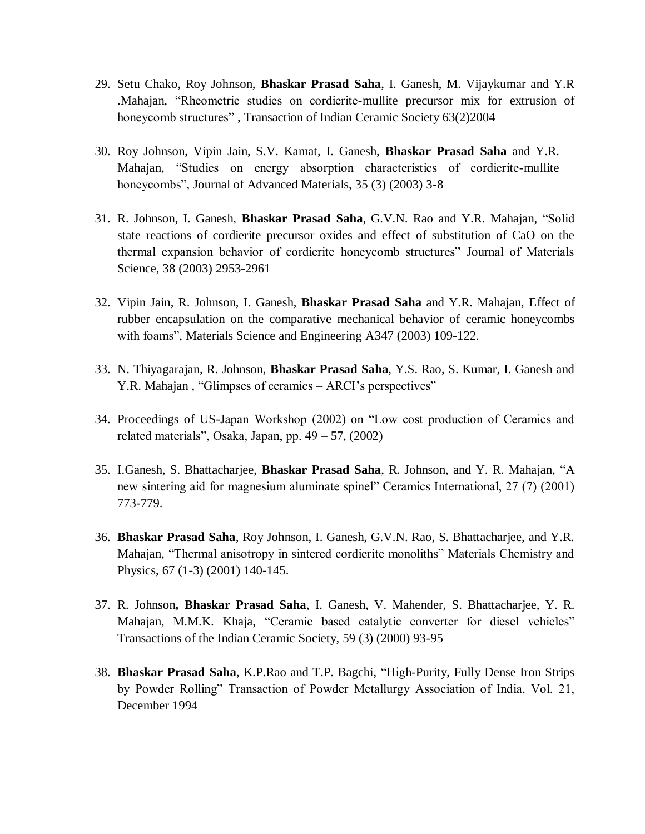- 29. Setu Chako, Roy Johnson, **Bhaskar Prasad Saha**, I. Ganesh, M. Vijaykumar and Y.R .Mahajan, "Rheometric studies on cordierite-mullite precursor mix for extrusion of honeycomb structures" , Transaction of Indian Ceramic Society 63(2)2004
- 30. Roy Johnson, Vipin Jain, S.V. Kamat, I. Ganesh, **Bhaskar Prasad Saha** and Y.R. Mahajan, "Studies on energy absorption characteristics of cordierite-mullite honeycombs", Journal of Advanced Materials, 35 (3) (2003) 3-8
- 31. R. Johnson, I. Ganesh, **Bhaskar Prasad Saha**, G.V.N. Rao and Y.R. Mahajan, "Solid state reactions of cordierite precursor oxides and effect of substitution of CaO on the thermal expansion behavior of cordierite honeycomb structures" Journal of Materials Science, 38 (2003) 2953-2961
- 32. Vipin Jain, R. Johnson, I. Ganesh, **Bhaskar Prasad Saha** and Y.R. Mahajan, Effect of rubber encapsulation on the comparative mechanical behavior of ceramic honeycombs with foams", Materials Science and Engineering A347 (2003) 109-122.
- 33. N. Thiyagarajan, R. Johnson, **Bhaskar Prasad Saha**, Y.S. Rao, S. Kumar, I. Ganesh and Y.R. Mahajan , "Glimpses of ceramics – ARCI's perspectives"
- 34. Proceedings of US-Japan Workshop (2002) on "Low cost production of Ceramics and related materials", Osaka, Japan, pp.  $49 - 57$ ,  $(2002)$
- 35. I.Ganesh, S. Bhattacharjee, **Bhaskar Prasad Saha**, R. Johnson, and Y. R. Mahajan, "A new sintering aid for magnesium aluminate spinel" Ceramics International, 27 (7) (2001) 773-779.
- 36. **Bhaskar Prasad Saha**, Roy Johnson, I. Ganesh, G.V.N. Rao, S. Bhattacharjee, and Y.R. Mahajan, "Thermal anisotropy in sintered cordierite monoliths" Materials Chemistry and Physics, 67 (1-3) (2001) 140-145.
- 37. R. Johnson**, Bhaskar Prasad Saha**, I. Ganesh, V. Mahender, S. Bhattacharjee, Y. R. Mahajan, M.M.K. Khaja, "Ceramic based catalytic converter for diesel vehicles" Transactions of the Indian Ceramic Society, 59 (3) (2000) 93-95
- 38. **Bhaskar Prasad Saha**, K.P.Rao and T.P. Bagchi, "High-Purity, Fully Dense Iron Strips by Powder Rolling" Transaction of Powder Metallurgy Association of India, Vol. 21, December 1994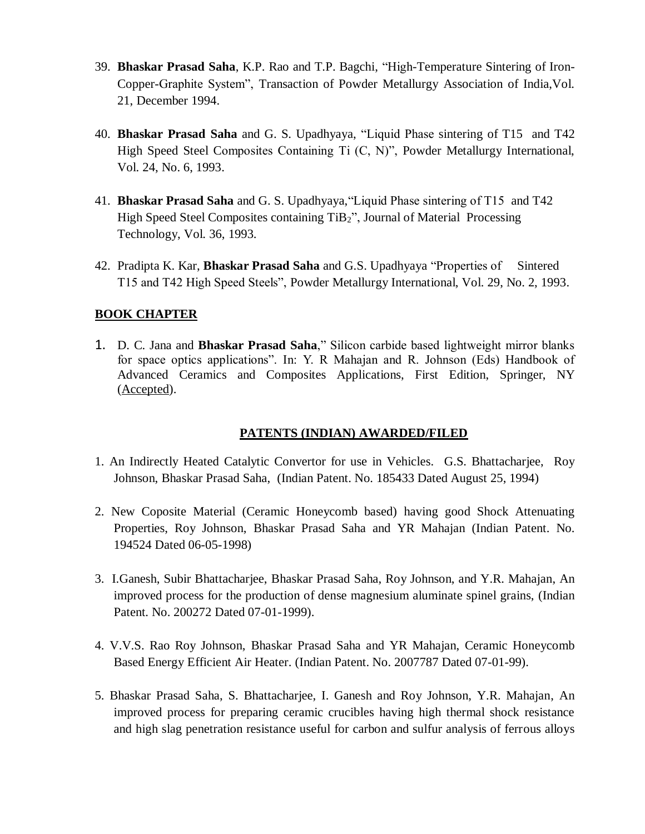- 39. **Bhaskar Prasad Saha**, K.P. Rao and T.P. Bagchi, "High-Temperature Sintering of Iron-Copper-Graphite System", Transaction of Powder Metallurgy Association of India,Vol. 21, December 1994.
- 40. **Bhaskar Prasad Saha** and G. S. Upadhyaya, "Liquid Phase sintering of T15 and T42 High Speed Steel Composites Containing Ti (C, N)", Powder Metallurgy International, Vol. 24, No. 6, 1993.
- 41. **Bhaskar Prasad Saha** and G. S. Upadhyaya,"Liquid Phase sintering of T15 and T42 High Speed Steel Composites containing TiB2", Journal of Material Processing Technology, Vol. 36, 1993.
- 42. Pradipta K. Kar, **Bhaskar Prasad Saha** and G.S. Upadhyaya "Properties of Sintered T15 and T42 High Speed Steels", Powder Metallurgy International, Vol. 29, No. 2, 1993.

## **BOOK CHAPTER**

1. D. C. Jana and **Bhaskar Prasad Saha**," Silicon carbide based lightweight mirror blanks for space optics applications". In: Y. R Mahajan and R. Johnson (Eds) Handbook of Advanced Ceramics and Composites Applications, First Edition, Springer, NY (Accepted).

## **PATENTS (INDIAN) AWARDED/FILED**

- 1. An Indirectly Heated Catalytic Convertor for use in Vehicles. G.S. Bhattacharjee, Roy Johnson, Bhaskar Prasad Saha, (Indian Patent. No. 185433 Dated August 25, 1994)
- 2. New Coposite Material (Ceramic Honeycomb based) having good Shock Attenuating Properties, Roy Johnson, Bhaskar Prasad Saha and YR Mahajan (Indian Patent. No. 194524 Dated 06-05-1998)
- 3. I.Ganesh, Subir Bhattacharjee, Bhaskar Prasad Saha, Roy Johnson, and Y.R. Mahajan, An improved process for the production of dense magnesium aluminate spinel grains, (Indian Patent. No. 200272 Dated 07-01-1999).
- 4. V.V.S. Rao Roy Johnson, Bhaskar Prasad Saha and YR Mahajan, Ceramic Honeycomb Based Energy Efficient Air Heater. (Indian Patent. No. 2007787 Dated 07-01-99).
- 5. Bhaskar Prasad Saha, S. Bhattacharjee, I. Ganesh and Roy Johnson, Y.R. Mahajan, An improved process for preparing ceramic crucibles having high thermal shock resistance and high slag penetration resistance useful for carbon and sulfur analysis of ferrous alloys